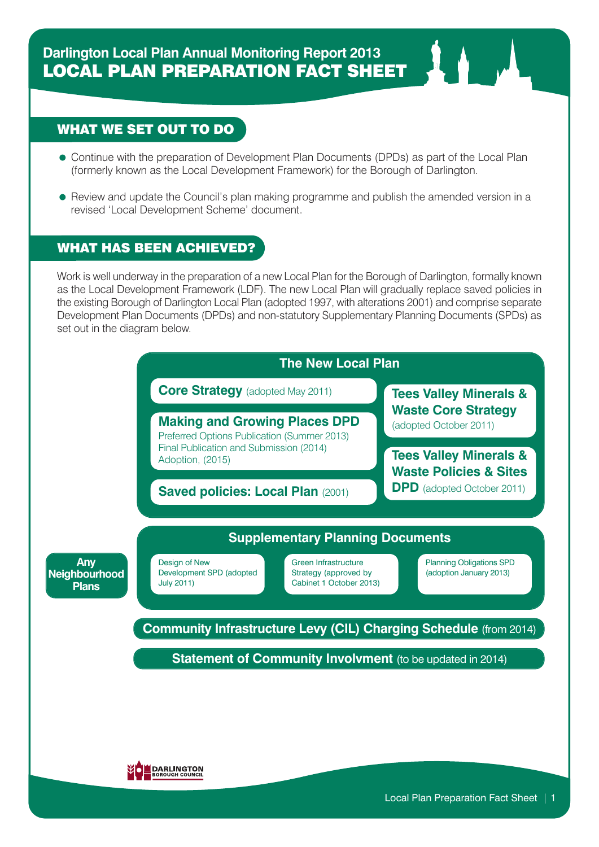## WHAT WE SET OUT TO DO

- Continue with the preparation of Development Plan Documents (DPDs) as part of the Local Plan (formerly known as the Local Development Framework) for the Borough of Darlington.
- Review and update the Council's plan making programme and publish the amended version in a revised 'Local Development Scheme' document.

## WHAT HAS BEEN ACHIEVED?

Work is well underway in the preparation of a new Local Plan for the Borough of Darlington, formally known as the Local Development Framework (LDF). The new Local Plan will gradually replace saved policies in the existing Borough of Darlington Local Plan (adopted 1997, with alterations 2001) and comprise separate Development Plan Documents (DPDs) and non-statutory Supplementary Planning Documents (SPDs) as set out in the diagram below.

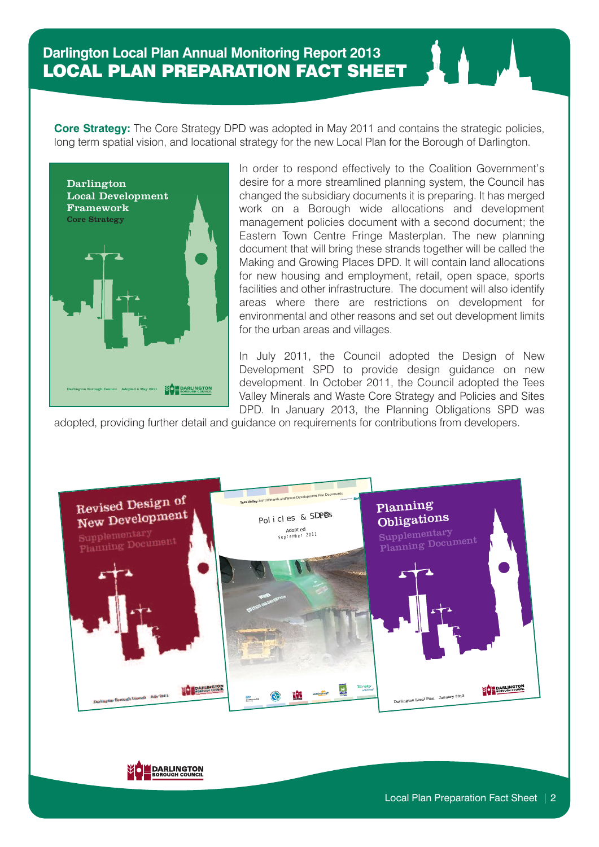**Core Strategy:** The Core Strategy DPD was adopted in May 2011 and contains the strategic policies, long term spatial vision, and locational strategy for the new Local Plan for the Borough of Darlington.



In order to respond effectively to the Coalition Government's desire for a more streamlined planning system, the Council has changed the subsidiary documents it is preparing. It has merged work on a Borough wide allocations and development management policies document with a second document; the Eastern Town Centre Fringe Masterplan. The new planning document that will bring these strands together will be called the Making and Growing Places DPD. It will contain land allocations for new housing and employment, retail, open space, sports facilities and other infrastructure. The document will also identify areas where there are restrictions on development for environmental and other reasons and set out development limits for the urban areas and villages.

In July 2011, the Council adopted the Design of New Development SPD to provide design guidance on new development. In October 2011, the Council adopted the Tees Valley Minerals and Waste Core Strategy and Policies and Sites DPD. In January 2013, the Planning Obligations SPD was

adopted, providing further detail and guidance on requirements for contributions from developers.



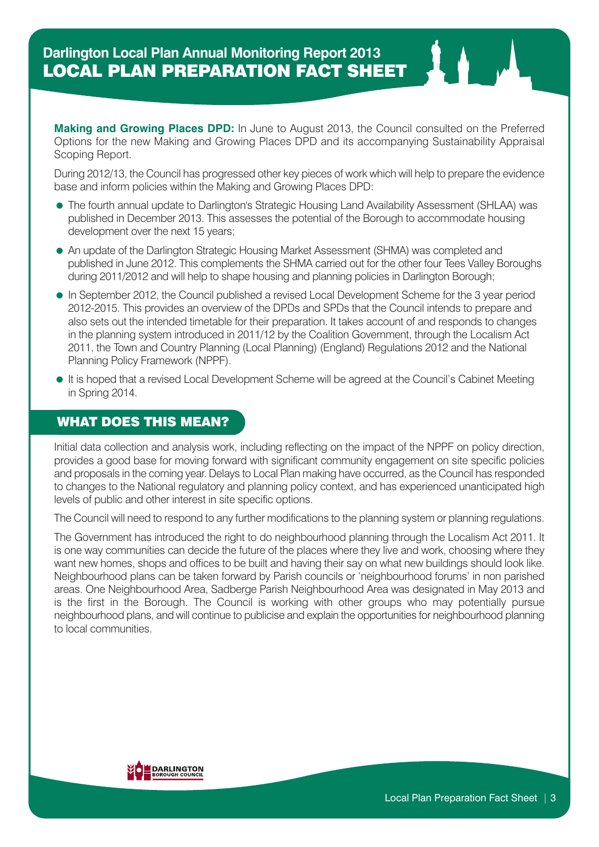**Making and Growing Places DPD:** In June to August 2013, the Council consulted on the Preferred Options for the new Making and Growing Places DPD and its accompanying Sustainability Appraisal Scoping Report.

During 2012/13, the Council has progressed other key pieces of work which will help to prepare the evidence base and inform policies within the Making and Growing Places DPD:

- The fourth annual update to Darlington's Strategic Housing Land Availability Assessment (SHLAA) was published in December 2013. This assesses the potential of the Borough to accommodate housing development over the next 15 years;
- An update of the Darlington Strategic Housing Market Assessment (SHMA) was completed and published in June 2012. This complements the SHMA carried out for the other four Tees Valley Boroughs during 2011/2012 and will help to shape housing and planning policies in Darlington Borough;
- In September 2012, the Council published a revised Local Development Scheme for the 3 year period 2012-2015. This provides an overview of the DPDs and SPDs that the Council intends to prepare and also sets out the intended timetable for their preparation. It takes account of and responds to changes in the planning system introduced in 2011/12 by the Coalition Government, through the Localism Act 2011, the Town and Country Planning (Local Planning) (England) Regulations 2012 and the National Planning Policy Framework (NPPF).
- It is hoped that a revised Local Development Scheme will be agreed at the Council's Cabinet Meeting in Spring 2014.

## WHAT DOES THIS MEAN?

Initial data collection and analysis work, including reflecting on the impact of the NPPF on policy direction, provides a good base for moving forward with significant community engagement on site specific policies and proposals in the coming year. Delays to Local Plan making have occurred, as the Council has responded to changes to the National regulatory and planning policy context, and has experienced unanticipated high levels of public and other interest in site specific options.

The Council will need to respond to any further modifications to the planning system or planning regulations.

The Government has introduced the right to do neighbourhood planning through the Localism Act 2011. It is one way communities can decide the future of the places where they live and work, choosing where they want new homes, shops and offices to be built and having their say on what new buildings should look like. Neighbourhood plans can be taken forward by Parish councils or 'neighbourhood forums' in non parished areas. One Neighbourhood Area, Sadberge Parish Neighbourhood Area was designated in May 2013 and is the first in the Borough. The Council is working with other groups who may potentially pursue neighbourhood plans, and will continue to publicise and explain the opportunities for neighbourhood planning to local communities.